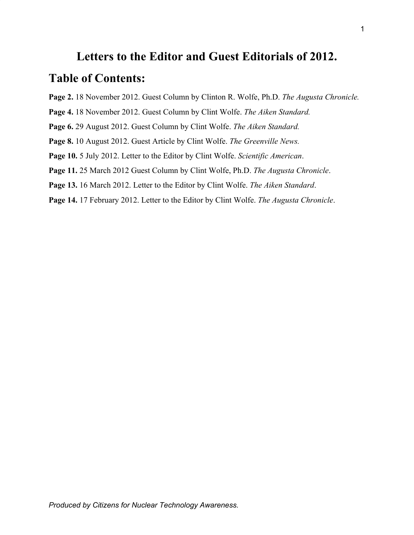# **Letters to the Editor and Guest Editorials of 2012.**

# **Table of Contents:**

- **Page 2.** 18 November 2012. Guest Column by Clinton R. Wolfe, Ph.D. *The Augusta Chronicle.*
- **Page 4.** 18 November 2012. Guest Column by Clint Wolfe. *The Aiken Standard.*
- **Page 6.** 29 August 2012. Guest Column by Clint Wolfe. *The Aiken Standard.*
- **Page 8.** 10 August 2012. Guest Article by Clint Wolfe. *The Greenville News.*
- **Page 10.** 5 July 2012. Letter to the Editor by Clint Wolfe. *Scientific American*.
- **Page 11.** 25 March 2012 Guest Column by Clint Wolfe, Ph.D. *The Augusta Chronicle*.
- **Page 13.** 16 March 2012. Letter to the Editor by Clint Wolfe. *The Aiken Standard*.
- **Page 14.** 17 February 2012. Letter to the Editor by Clint Wolfe. *The Augusta Chronicle*.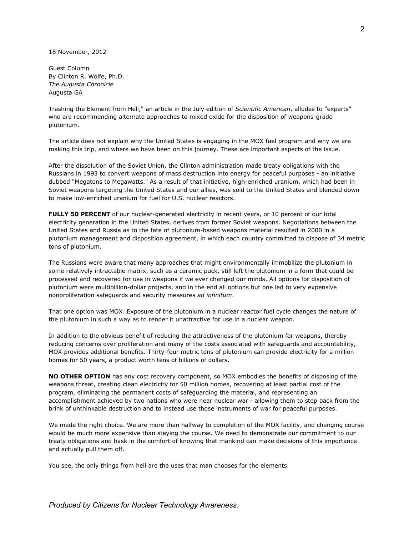18 November, 2012

Guest Column By Clinton R. Wolfe, Ph.D. *The Augusta Chronicle* Augusta GA

Trashing the Element from Hell," an article in the July edition of *Scientific American*, alludes to "experts" who are recommending alternate approaches to mixed oxide for the disposition of weapons-grade plutonium.

The article does not explain why the United States is engaging in the MOX fuel program and why we are making this trip, and where we have been on this journey. These are important aspects of the issue.

After the dissolution of the Soviet Union, the Clinton administration made treaty obligations with the Russians in 1993 to convert weapons of mass destruction into energy for peaceful purposes - an initiative dubbed "Megatons to Megawatts." As a result of that initiative, high-enriched uranium, which had been in Soviet weapons targeting the United States and our allies, was sold to the United States and blended down to make low-enriched uranium for fuel for U.S. nuclear reactors.

**FULLY 50 PERCENT** of our nuclear-generated electricity in recent years, or 10 percent of our total electricity generation in the United States, derives from former Soviet weapons. Negotiations between the United States and Russia as to the fate of plutonium-based weapons material resulted in 2000 in a plutonium management and disposition agreement, in which each country committed to dispose of 34 metric tons of plutonium.

The Russians were aware that many approaches that might environmentally immobilize the plutonium in some relatively intractable matrix, such as a ceramic puck, still left the plutonium in a form that could be processed and recovered for use in weapons if we ever changed our minds. All options for disposition of plutonium were multibillion-dollar projects, and in the end all options but one led to very expensive nonproliferation safeguards and security measures *ad infinitum*.

That one option was MOX. Exposure of the plutonium in a nuclear reactor fuel cycle changes the nature of the plutonium in such a way as to render it unattractive for use in a nuclear weapon.

In addition to the obvious benefit of reducing the attractiveness of the plutonium for weapons, thereby reducing concerns over proliferation and many of the costs associated with safeguards and accountability, MOX provides additional benefits. Thirty-four metric tons of plutonium can provide electricity for a million homes for 50 years, a product worth tens of billions of dollars.

**NO OTHER OPTION** has any cost recovery component, so MOX embodies the benefits of disposing of the weapons threat, creating clean electricity for 50 million homes, recovering at least partial cost of the program, eliminating the permanent costs of safeguarding the material, and representing an accomplishment achieved by two nations who were near nuclear war - allowing them to step back from the brink of unthinkable destruction and to instead use those instruments of war for peaceful purposes.

We made the right choice. We are more than halfway to completion of the MOX facility, and changing course would be much more expensive than staying the course. We need to demonstrate our commitment to our treaty obligations and bask in the comfort of knowing that mankind can make decisions of this importance and actually pull them off.

You see, the only things from hell are the uses that man chooses for the elements.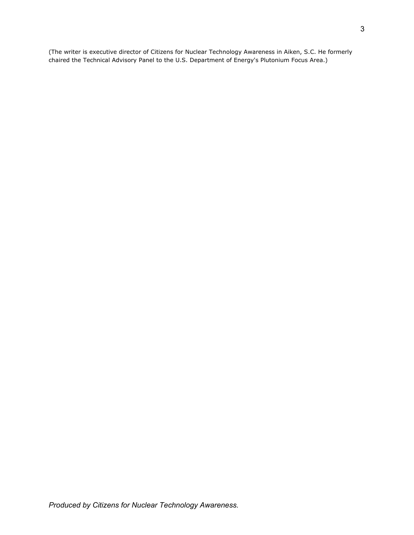(The writer is executive director of Citizens for Nuclear Technology Awareness in Aiken, S.C. He formerly chaired the Technical Advisory Panel to the U.S. Department of Energy's Plutonium Focus Area.)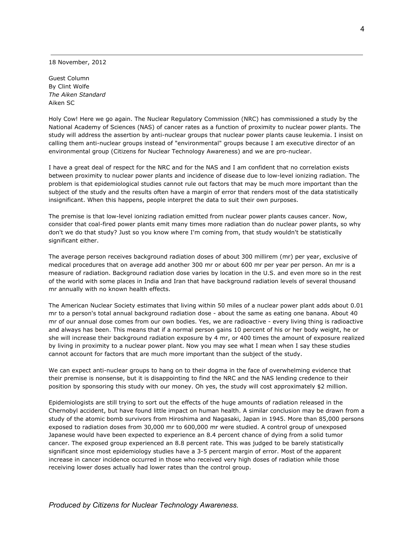18 November, 2012

Guest Column By Clint Wolfe *The Aiken Standard* Aiken SC

Holy Cow! Here we go again. The Nuclear Regulatory Commission (NRC) has commissioned a study by the National Academy of Sciences (NAS) of cancer rates as a function of proximity to nuclear power plants. The study will address the assertion by anti-nuclear groups that nuclear power plants cause leukemia. I insist on calling them anti-nuclear groups instead of "environmental" groups because I am executive director of an environmental group (Citizens for Nuclear Technology Awareness) and we are pro-nuclear.

I have a great deal of respect for the NRC and for the NAS and I am confident that no correlation exists between proximity to nuclear power plants and incidence of disease due to low-level ionizing radiation. The problem is that epidemiological studies cannot rule out factors that may be much more important than the subject of the study and the results often have a margin of error that renders most of the data statistically insignificant. When this happens, people interpret the data to suit their own purposes.

The premise is that low-level ionizing radiation emitted from nuclear power plants causes cancer. Now, consider that coal-fired power plants emit many times more radiation than do nuclear power plants, so why don't we do that study? Just so you know where I'm coming from, that study wouldn't be statistically significant either.

The average person receives background radiation doses of about 300 millirem (mr) per year, exclusive of medical procedures that on average add another 300 mr or about 600 mr per year per person. An mr is a measure of radiation. Background radiation dose varies by location in the U.S. and even more so in the rest of the world with some places in India and Iran that have background radiation levels of several thousand mr annually with no known health effects.

The American Nuclear Society estimates that living within 50 miles of a nuclear power plant adds about 0.01 mr to a person's total annual background radiation dose - about the same as eating one banana. About 40 mr of our annual dose comes from our own bodies. Yes, we are radioactive - every living thing is radioactive and always has been. This means that if a normal person gains 10 percent of his or her body weight, he or she will increase their background radiation exposure by 4 mr, or 400 times the amount of exposure realized by living in proximity to a nuclear power plant. Now you may see what I mean when I say these studies cannot account for factors that are much more important than the subject of the study.

We can expect anti-nuclear groups to hang on to their dogma in the face of overwhelming evidence that their premise is nonsense, but it is disappointing to find the NRC and the NAS lending credence to their position by sponsoring this study with our money. Oh yes, the study will cost approximately \$2 million.

Epidemiologists are still trying to sort out the effects of the huge amounts of radiation released in the Chernobyl accident, but have found little impact on human health. A similar conclusion may be drawn from a study of the atomic bomb survivors from Hiroshima and Nagasaki, Japan in 1945. More than 85,000 persons exposed to radiation doses from 30,000 mr to 600,000 mr were studied. A control group of unexposed Japanese would have been expected to experience an 8.4 percent chance of dying from a solid tumor cancer. The exposed group experienced an 8.8 percent rate. This was judged to be barely statistically significant since most epidemiology studies have a 3-5 percent margin of error. Most of the apparent increase in cancer incidence occurred in those who received very high doses of radiation while those receiving lower doses actually had lower rates than the control group.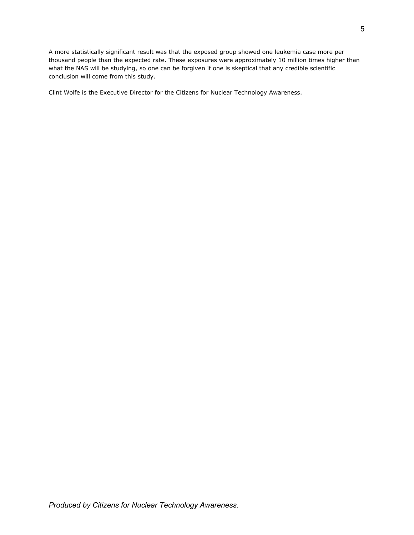A more statistically significant result was that the exposed group showed one leukemia case more per thousand people than the expected rate. These exposures were approximately 10 million times higher than what the NAS will be studying, so one can be forgiven if one is skeptical that any credible scientific conclusion will come from this study.

Clint Wolfe is the Executive Director for the Citizens for Nuclear Technology Awareness.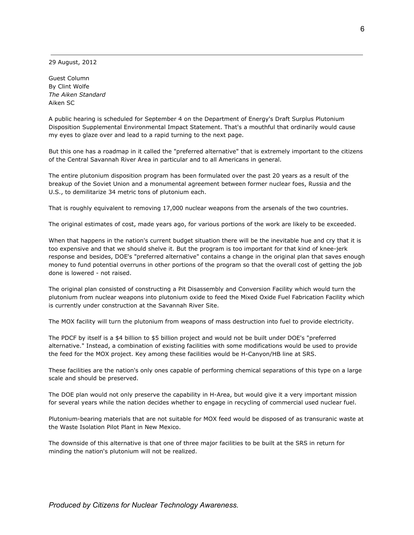29 August, 2012

Guest Column By Clint Wolfe *The Aiken Standard* Aiken SC

A public hearing is scheduled for September 4 on the Department of Energy's Draft Surplus Plutonium Disposition Supplemental Environmental Impact Statement. That's a mouthful that ordinarily would cause my eyes to glaze over and lead to a rapid turning to the next page.

But this one has a roadmap in it called the "preferred alternative" that is extremely important to the citizens of the Central Savannah River Area in particular and to all Americans in general.

The entire plutonium disposition program has been formulated over the past 20 years as a result of the breakup of the Soviet Union and a monumental agreement between former nuclear foes, Russia and the U.S., to demilitarize 34 metric tons of plutonium each.

That is roughly equivalent to removing 17,000 nuclear weapons from the arsenals of the two countries.

The original estimates of cost, made years ago, for various portions of the work are likely to be exceeded.

When that happens in the nation's current budget situation there will be the inevitable hue and cry that it is too expensive and that we should shelve it. But the program is too important for that kind of knee-jerk response and besides, DOE's "preferred alternative" contains a change in the original plan that saves enough money to fund potential overruns in other portions of the program so that the overall cost of getting the job done is lowered - not raised.

The original plan consisted of constructing a Pit Disassembly and Conversion Facility which would turn the plutonium from nuclear weapons into plutonium oxide to feed the Mixed Oxide Fuel Fabrication Facility which is currently under construction at the Savannah River Site.

The MOX facility will turn the plutonium from weapons of mass destruction into fuel to provide electricity.

The PDCF by itself is a \$4 billion to \$5 billion project and would not be built under DOE's "preferred alternative." Instead, a combination of existing facilities with some modifications would be used to provide the feed for the MOX project. Key among these facilities would be H-Canyon/HB line at SRS.

These facilities are the nation's only ones capable of performing chemical separations of this type on a large scale and should be preserved.

The DOE plan would not only preserve the capability in H-Area, but would give it a very important mission for several years while the nation decides whether to engage in recycling of commercial used nuclear fuel.

Plutonium-bearing materials that are not suitable for MOX feed would be disposed of as transuranic waste at the Waste Isolation Pilot Plant in New Mexico.

The downside of this alternative is that one of three major facilities to be built at the SRS in return for minding the nation's plutonium will not be realized.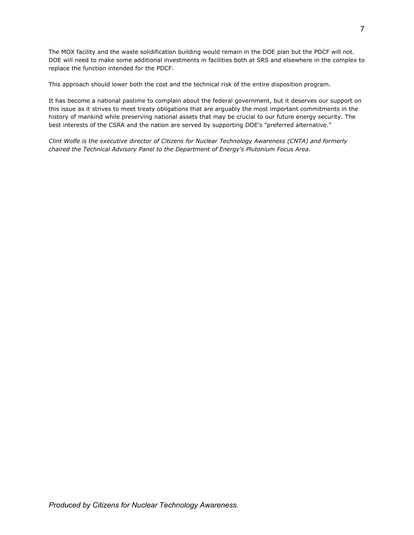The MOX facility and the waste solidification building would remain in the DOE plan but the PDCF will not. DOE will need to make some additional investments in facilities both at SRS and elsewhere in the complex to replace the function intended for the PDCF.

This approach should lower both the cost and the technical risk of the entire disposition program.

It has become a national pastime to complain about the federal government, but it deserves our support on this issue as it strives to meet treaty obligations that are arguably the most important commitments in the history of mankind while preserving national assets that may be crucial to our future energy security. The best interests of the CSRA and the nation are served by supporting DOE's "preferred alternative."

*Clint Wolfe is the executive director of Citizens for Nuclear Technology Awareness (CNTA) and formerly chaired the Technical Advisory Panel to the Department of Energy's Plutonium Focus Area.*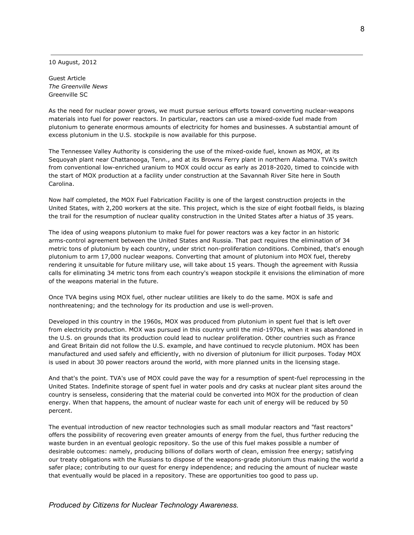10 August, 2012

Guest Article *The Greenville News* Greenville SC

As the need for nuclear power grows, we must pursue serious efforts toward converting nuclear-weapons materials into fuel for power reactors. In particular, reactors can use a mixed-oxide fuel made from plutonium to generate enormous amounts of electricity for homes and businesses. A substantial amount of excess plutonium in the U.S. stockpile is now available for this purpose.

The Tennessee Valley Authority is considering the use of the mixed-oxide fuel, known as MOX, at its Sequoyah plant near Chattanooga, Tenn., and at its Browns Ferry plant in northern Alabama. TVA's switch from conventional low-enriched uranium to MOX could occur as early as 2018-2020, timed to coincide with the start of MOX production at a facility under construction at the Savannah River Site here in South Carolina.

Now half completed, the MOX Fuel Fabrication Facility is one of the largest construction projects in the United States, with 2,200 workers at the site. This project, which is the size of eight football fields, is blazing the trail for the resumption of nuclear quality construction in the United States after a hiatus of 35 years.

The idea of using weapons plutonium to make fuel for power reactors was a key factor in an historic arms-control agreement between the United States and Russia. That pact requires the elimination of 34 metric tons of plutonium by each country, under strict non-proliferation conditions. Combined, that's enough plutonium to arm 17,000 nuclear weapons. Converting that amount of plutonium into MOX fuel, thereby rendering it unsuitable for future military use, will take about 15 years. Though the agreement with Russia calls for eliminating 34 metric tons from each country's weapon stockpile it envisions the elimination of more of the weapons material in the future.

Once TVA begins using MOX fuel, other nuclear utilities are likely to do the same. MOX is safe and nonthreatening; and the technology for its production and use is well-proven.

Developed in this country in the 1960s, MOX was produced from plutonium in spent fuel that is left over from electricity production. MOX was pursued in this country until the mid-1970s, when it was abandoned in the U.S. on grounds that its production could lead to nuclear proliferation. Other countries such as France and Great Britain did not follow the U.S. example, and have continued to recycle plutonium. MOX has been manufactured and used safely and efficiently, with no diversion of plutonium for illicit purposes. Today MOX is used in about 30 power reactors around the world, with more planned units in the licensing stage.

And that's the point. TVA's use of MOX could pave the way for a resumption of spent-fuel reprocessing in the United States. Indefinite storage of spent fuel in water pools and dry casks at nuclear plant sites around the country is senseless, considering that the material could be converted into MOX for the production of clean energy. When that happens, the amount of nuclear waste for each unit of energy will be reduced by 50 percent.

The eventual introduction of new reactor technologies such as small modular reactors and "fast reactors" offers the possibility of recovering even greater amounts of energy from the fuel, thus further reducing the waste burden in an eventual geologic repository. So the use of this fuel makes possible a number of desirable outcomes: namely, producing billions of dollars worth of clean, emission free energy; satisfying our treaty obligations with the Russians to dispose of the weapons-grade plutonium thus making the world a safer place; contributing to our quest for energy independence; and reducing the amount of nuclear waste that eventually would be placed in a repository. These are opportunities too good to pass up.

### *Produced by Citizens for Nuclear Technology Awareness.*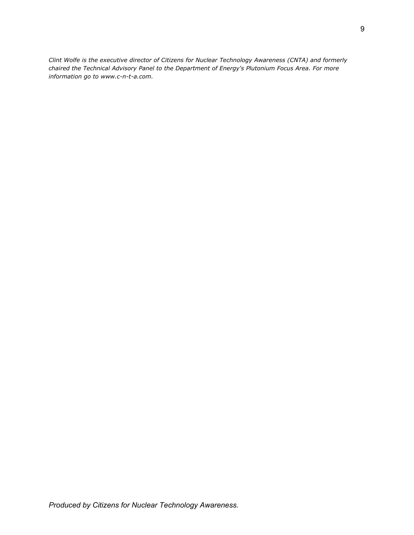*Clint Wolfe is the executive director of Citizens for Nuclear Technology Awareness (CNTA) and formerly chaired the Technical Advisory Panel to the Department of Energy's Plutonium Focus Area. For more information go to www.c-n-t-a.com.*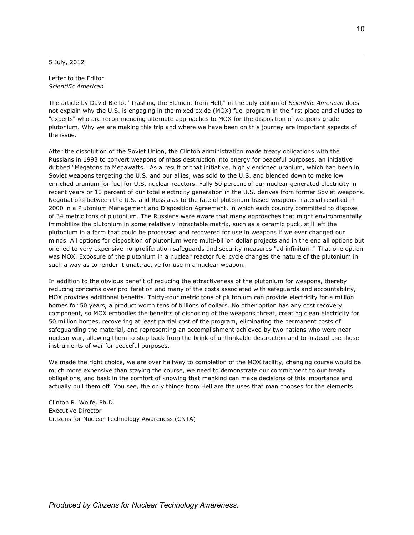5 July, 2012

Letter to the Editor *Scientific American*

The article by David Biello, "Trashing the Element from Hell," in the July edition of *Scientific American* does not explain why the U.S. is engaging in the mixed oxide (MOX) fuel program in the first place and alludes to "experts" who are recommending alternate approaches to MOX for the disposition of weapons grade plutonium. Why we are making this trip and where we have been on this journey are important aspects of the issue.

After the dissolution of the Soviet Union, the Clinton administration made treaty obligations with the Russians in 1993 to convert weapons of mass destruction into energy for peaceful purposes, an initiative dubbed "Megatons to Megawatts." As a result of that initiative, highly enriched uranium, which had been in Soviet weapons targeting the U.S. and our allies, was sold to the U.S. and blended down to make low enriched uranium for fuel for U.S. nuclear reactors. Fully 50 percent of our nuclear generated electricity in recent years or 10 percent of our total electricity generation in the U.S. derives from former Soviet weapons. Negotiations between the U.S. and Russia as to the fate of plutonium-based weapons material resulted in 2000 in a Plutonium Management and Disposition Agreement, in which each country committed to dispose of 34 metric tons of plutonium. The Russians were aware that many approaches that might environmentally immobilize the plutonium in some relatively intractable matrix, such as a ceramic puck, still left the plutonium in a form that could be processed and recovered for use in weapons if we ever changed our minds. All options for disposition of plutonium were multi-billion dollar projects and in the end all options but one led to very expensive nonproliferation safeguards and security measures "ad infinitum." That one option was MOX. Exposure of the plutonium in a nuclear reactor fuel cycle changes the nature of the plutonium in such a way as to render it unattractive for use in a nuclear weapon.

In addition to the obvious benefit of reducing the attractiveness of the plutonium for weapons, thereby reducing concerns over proliferation and many of the costs associated with safeguards and accountability, MOX provides additional benefits. Thirty-four metric tons of plutonium can provide electricity for a million homes for 50 years, a product worth tens of billions of dollars. No other option has any cost recovery component, so MOX embodies the benefits of disposing of the weapons threat, creating clean electricity for 50 million homes, recovering at least partial cost of the program, eliminating the permanent costs of safeguarding the material, and representing an accomplishment achieved by two nations who were near nuclear war, allowing them to step back from the brink of unthinkable destruction and to instead use those instruments of war for peaceful purposes.

We made the right choice, we are over halfway to completion of the MOX facility, changing course would be much more expensive than staying the course, we need to demonstrate our commitment to our treaty obligations, and bask in the comfort of knowing that mankind can make decisions of this importance and actually pull them off. You see, the only things from Hell are the uses that man chooses for the elements.

Clinton R. Wolfe, Ph.D. Executive Director Citizens for Nuclear Technology Awareness (CNTA)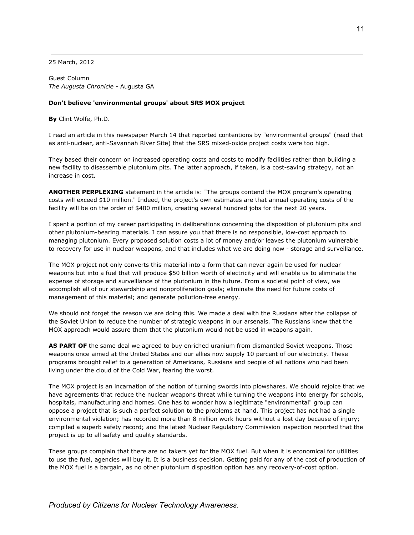25 March, 2012

Guest Column *The Augusta Chronicle* - Augusta GA

#### **Don't believe 'environmental groups' about SRS MOX project**

**By** Clint Wolfe, Ph.D.

I read an article in this newspaper March 14 that reported contentions by "environmental groups" (read that as anti-nuclear, anti-Savannah River Site) that the SRS mixed-oxide project costs were too high.

They based their concern on increased operating costs and costs to modify facilities rather than building a new facility to disassemble plutonium pits. The latter approach, if taken, is a cost-saving strategy, not an increase in cost.

**ANOTHER PERPLEXING** statement in the article is: "The groups contend the MOX program's operating costs will exceed \$10 million." Indeed, the project's own estimates are that annual operating costs of the facility will be on the order of \$400 million, creating several hundred jobs for the next 20 years.

I spent a portion of my career participating in deliberations concerning the disposition of plutonium pits and other plutonium-bearing materials. I can assure you that there is no responsible, low-cost approach to managing plutonium. Every proposed solution costs a lot of money and/or leaves the plutonium vulnerable to recovery for use in nuclear weapons, and that includes what we are doing now - storage and surveillance.

The MOX project not only converts this material into a form that can never again be used for nuclear weapons but into a fuel that will produce \$50 billion worth of electricity and will enable us to eliminate the expense of storage and surveillance of the plutonium in the future. From a societal point of view, we accomplish all of our stewardship and nonproliferation goals; eliminate the need for future costs of management of this material; and generate pollution-free energy.

We should not forget the reason we are doing this. We made a deal with the Russians after the collapse of the Soviet Union to reduce the number of strategic weapons in our arsenals. The Russians knew that the MOX approach would assure them that the plutonium would not be used in weapons again.

**AS PART OF** the same deal we agreed to buy enriched uranium from dismantled Soviet weapons. Those weapons once aimed at the United States and our allies now supply 10 percent of our electricity. These programs brought relief to a generation of Americans, Russians and people of all nations who had been living under the cloud of the Cold War, fearing the worst.

The MOX project is an incarnation of the notion of turning swords into plowshares. We should rejoice that we have agreements that reduce the nuclear weapons threat while turning the weapons into energy for schools, hospitals, manufacturing and homes. One has to wonder how a legitimate "environmental" group can oppose a project that is such a perfect solution to the problems at hand. This project has not had a single environmental violation; has recorded more than 8 million work hours without a lost day because of injury; compiled a superb safety record; and the latest Nuclear Regulatory Commission inspection reported that the project is up to all safety and quality standards.

These groups complain that there are no takers yet for the MOX fuel. But when it is economical for utilities to use the fuel, agencies will buy it. It is a business decision. Getting paid for any of the cost of production of the MOX fuel is a bargain, as no other plutonium disposition option has any recovery-of-cost option.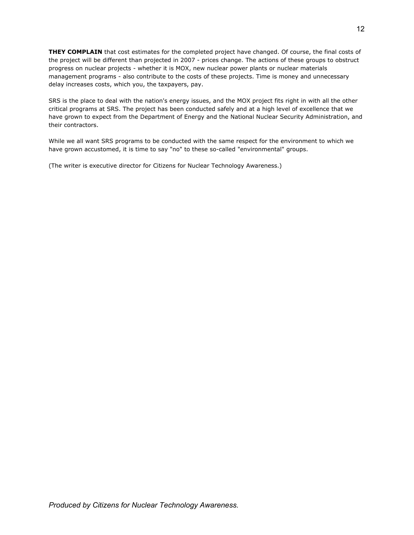**THEY COMPLAIN** that cost estimates for the completed project have changed. Of course, the final costs of the project will be different than projected in 2007 - prices change. The actions of these groups to obstruct progress on nuclear projects - whether it is MOX, new nuclear power plants or nuclear materials management programs - also contribute to the costs of these projects. Time is money and unnecessary delay increases costs, which you, the taxpayers, pay.

SRS is the place to deal with the nation's energy issues, and the MOX project fits right in with all the other critical programs at SRS. The project has been conducted safely and at a high level of excellence that we have grown to expect from the Department of Energy and the National Nuclear Security Administration, and their contractors.

While we all want SRS programs to be conducted with the same respect for the environment to which we have grown accustomed, it is time to say "no" to these so-called "environmental" groups.

(The writer is executive director for Citizens for Nuclear Technology Awareness.)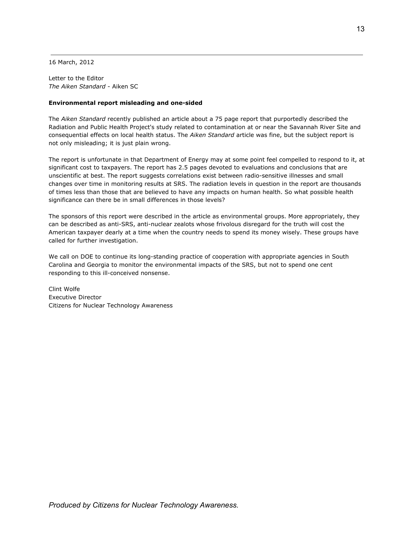16 March, 2012

Letter to the Editor *The Aiken Standard* - Aiken SC

#### **Environmental report misleading and one-sided**

The *Aiken Standard* recently published an article about a 75 page report that purportedly described the Radiation and Public Health Project's study related to contamination at or near the Savannah River Site and consequential effects on local health status. The *Aiken Standard* article was fine, but the subject report is not only misleading; it is just plain wrong.

The report is unfortunate in that Department of Energy may at some point feel compelled to respond to it, at significant cost to taxpayers. The report has 2.5 pages devoted to evaluations and conclusions that are unscientific at best. The report suggests correlations exist between radio-sensitive illnesses and small changes over time in monitoring results at SRS. The radiation levels in question in the report are thousands of times less than those that are believed to have any impacts on human health. So what possible health significance can there be in small differences in those levels?

The sponsors of this report were described in the article as environmental groups. More appropriately, they can be described as anti-SRS, anti-nuclear zealots whose frivolous disregard for the truth will cost the American taxpayer dearly at a time when the country needs to spend its money wisely. These groups have called for further investigation.

We call on DOE to continue its long-standing practice of cooperation with appropriate agencies in South Carolina and Georgia to monitor the environmental impacts of the SRS, but not to spend one cent responding to this ill-conceived nonsense.

Clint Wolfe Executive Director Citizens for Nuclear Technology Awareness